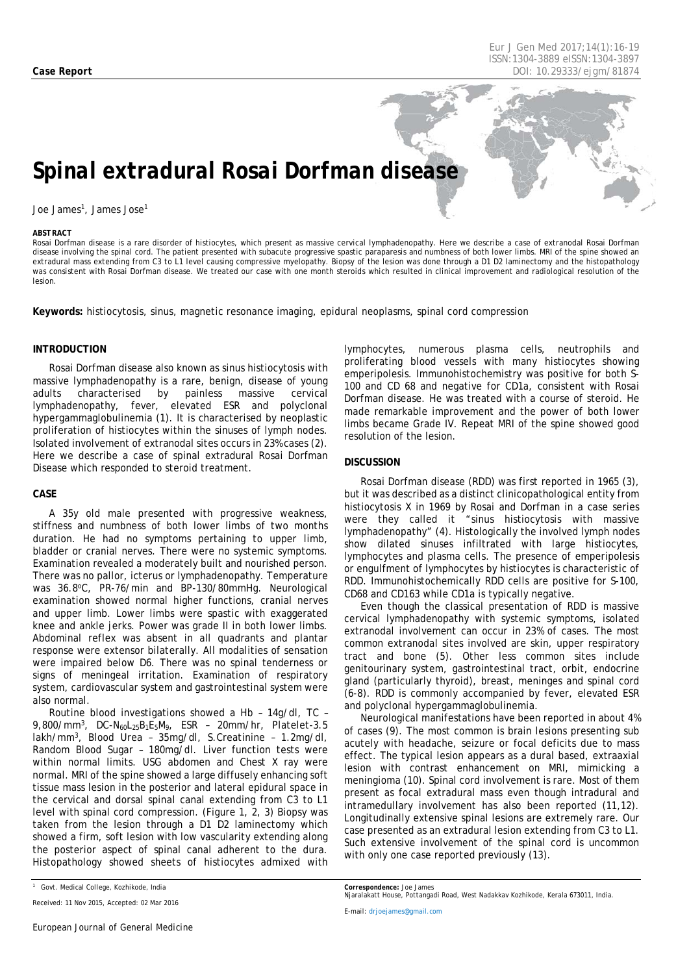*Eur J Gen Med 2017;14(1)[:16](#page-0-0)[-19](#page-3-0) ISSN:1304-3889 eISSN:1304-3897 Case Report DOI: 10.29333/ejgm/81874*

# *Spinal extradural Rosai Dorfman disease*

#### Joe James<sup>1</sup>, James Jose<sup>1</sup>

#### <span id="page-0-0"></span>*ABSTRACT*

Rosai Dorfman disease is a rare disorder of histiocytes, which present as massive cervical lymphadenopathy. Here we describe a case of extranodal Rosai Dorfman disease involving the spinal cord. The patient presented with subacute progressive spastic paraparesis and numbness of both lower limbs. MRI of the spine showed an extradural mass extending from C3 to L1 level causing compressive myelopathy. Biopsy of the lesion was done through a D1 D2 laminectomy and the histopathology was consistent with Rosai Dorfman disease. We treated our case with one month steroids which resulted in clinical improvement and radiological resolution of the lesion.

**Keywords:** histiocytosis, sinus, magnetic resonance imaging, epidural neoplasms, spinal cord compression

### **INTRODUCTION**

Rosai Dorfman disease also known as sinus histiocytosis with massive lymphadenopathy is a rare, benign, disease of young<br>adults characterised by painless massive cervical adults characterised by painless massive cervical lymphadenopathy, fever, elevated ESR and polyclonal hypergammaglobulinemia (1). It is characterised by neoplastic proliferation of histiocytes within the sinuses of lymph nodes. Isolated involvement of extranodal sites occurs in 23% cases (2). Here we describe a case of spinal extradural Rosai Dorfman Disease which responded to steroid treatment.

#### **CASE**

A 35y old male presented with progressive weakness, stiffness and numbness of both lower limbs of two months duration. He had no symptoms pertaining to upper limb, bladder or cranial nerves. There were no systemic symptoms. Examination revealed a moderately built and nourished person. There was no pallor, icterus or lymphadenopathy. Temperature was 36.8°C, PR-76/min and BP-130/80mmHg. Neurological examination showed normal higher functions, cranial nerves and upper limb. Lower limbs were spastic with exaggerated knee and ankle jerks. Power was grade II in both lower limbs. Abdominal reflex was absent in all quadrants and plantar response were extensor bilaterally. All modalities of sensation were impaired below D6. There was no spinal tenderness or signs of meningeal irritation. Examination of respiratory system, cardiovascular system and gastrointestinal system were also normal.

Routine blood investigations showed a Hb – 14g/dl, TC – 9,800/mm3, DC-N60L25B1E5M9, ESR – 20mm/hr, Platelet-3.5 lakh/mm3, Blood Urea – 35mg/dl, S.Creatinine – 1.2mg/dl, Random Blood Sugar – 180mg/dl. Liver function tests were within normal limits. USG abdomen and Chest X ray were normal. MRI of the spine showed a large diffusely enhancing soft tissue mass lesion in the posterior and lateral epidural space in the cervical and dorsal spinal canal extending from C3 to L1 level with spinal cord compression. (Figure 1, 2, 3) Biopsy was taken from the lesion through a D1 D2 laminectomy which showed a firm, soft lesion with low vascularity extending along the posterior aspect of spinal canal adherent to the dura. Histopathology showed sheets of histiocytes admixed with

lymphocytes, numerous plasma cells, neutrophils and proliferating blood vessels with many histiocytes showing emperipolesis. Immunohistochemistry was positive for both S-100 and CD 68 and negative for CD1a, consistent with Rosai Dorfman disease. He was treated with a course of steroid. He made remarkable improvement and the power of both lower limbs became Grade IV. Repeat MRI of the spine showed good resolution of the lesion.

## **DISCUSSION**

Rosai Dorfman disease (RDD) was first reported in 1965 (3), but it was described as a distinct clinicopathological entity from histiocytosis X in 1969 by Rosai and Dorfman in a case series were they called it "sinus histiocytosis with massive lymphadenopathy" (4). Histologically the involved lymph nodes show dilated sinuses infiltrated with large histiocytes, lymphocytes and plasma cells. The presence of emperipolesis or engulfment of lymphocytes by histiocytes is characteristic of RDD. Immunohistochemically RDD cells are positive for S-100, CD68 and CD163 while CD1a is typically negative.

Even though the classical presentation of RDD is massive cervical lymphadenopathy with systemic symptoms, isolated extranodal involvement can occur in 23% of cases. The most common extranodal sites involved are skin, upper respiratory tract and bone (5). Other less common sites include genitourinary system, gastrointestinal tract, orbit, endocrine gland (particularly thyroid), breast, meninges and spinal cord (6-8). RDD is commonly accompanied by fever, elevated ESR and polyclonal hypergammaglobulinemia.

Neurological manifestations have been reported in about 4% of cases (9). The most common is brain lesions presenting sub acutely with headache, seizure or focal deficits due to mass effect. The typical lesion appears as a dural based, extraaxial lesion with contrast enhancement on MRI, mimicking a meningioma (10). Spinal cord involvement is rare. Most of them present as focal extradural mass even though intradural and intramedullary involvement has also been reported (11,12). Longitudinally extensive spinal lesions are extremely rare. Our case presented as an extradural lesion extending from C3 to L1. Such extensive involvement of the spinal cord is uncommon with only one case reported previously (13).

*Received: 11 Nov 2015, Accepted: 02 Mar 2016*

*E-mail[: drjoejames@gmail.com](mailto:drjoejames@gmail.com)*

*Correspondence: Joe James*

*<sup>1</sup> Govt. Medical College, Kozhikode, India*

*Njaralakatt House, Pottangadi Road, West Nadakkav Kozhikode, Kerala 673011, India.*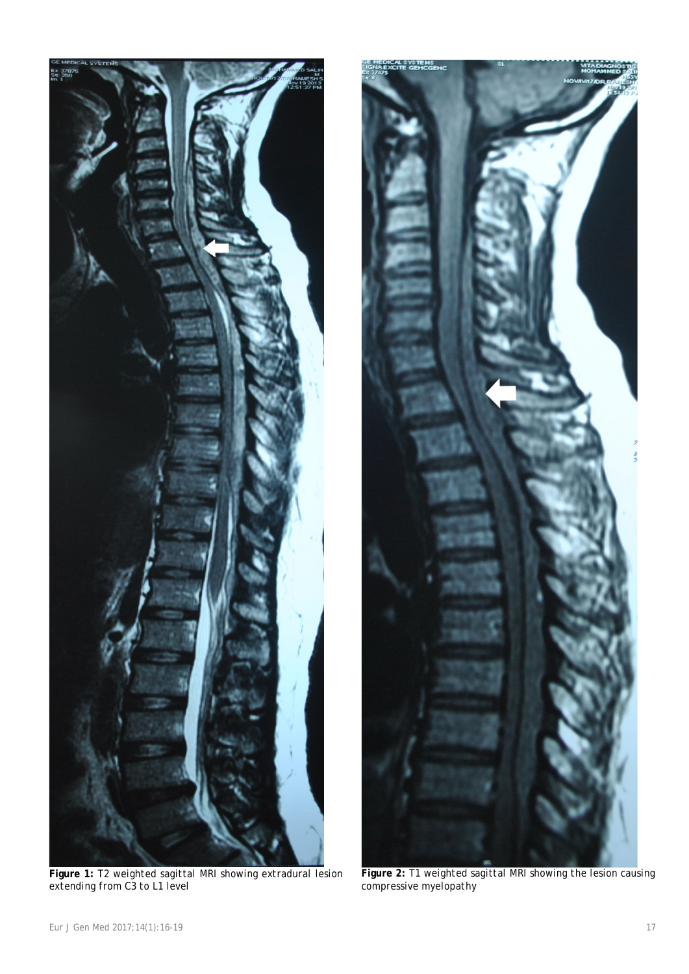

**Figure 1:** *T2 weighted sagittal MRI showing extradural lesion extending from C3 to L1 level*



**Figure 2:** *T1 weighted sagittal MRI showing the lesion causing compressive myelopathy*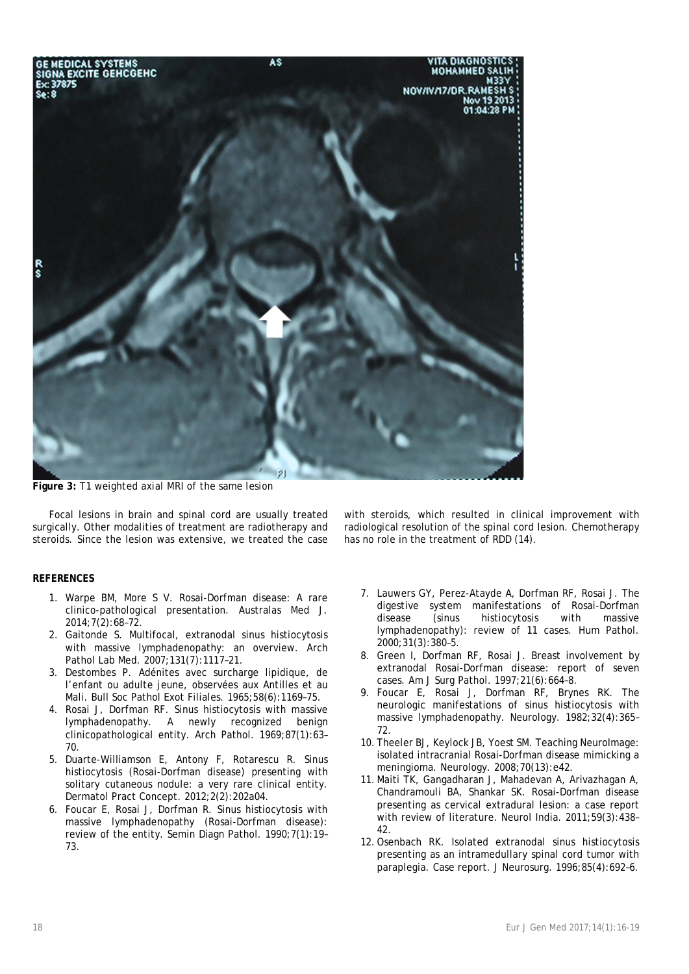

**Figure 3:** *T1 weighted axial MRI of the same lesion*

Focal lesions in brain and spinal cord are usually treated surgically. Other modalities of treatment are radiotherapy and steroids. Since the lesion was extensive, we treated the case

# **REFERENCES**

- 1. Warpe BM, More S V. Rosai-Dorfman disease: A rare clinico-pathological presentation. Australas Med J. 2014;7(2):68–72.
- 2. Gaitonde S. Multifocal, extranodal sinus histiocytosis with massive lymphadenopathy: an overview. Arch Pathol Lab Med. 2007;131(7):1117–21.
- 3. Destombes P. Adénites avec surcharge lipidique, de l'enfant ou adulte jeune, observées aux Antilles et au Mali. Bull Soc Pathol Exot Filiales. 1965;58(6):1169–75.
- 4. Rosai J, Dorfman RF. Sinus histiocytosis with massive lymphadenopathy. A newly recognized benign clinicopathological entity. Arch Pathol. 1969;87(1):63– 70.
- 5. Duarte-Williamson E, Antony F, Rotarescu R. Sinus histiocytosis (Rosai-Dorfman disease) presenting with solitary cutaneous nodule: a very rare clinical entity. Dermatol Pract Concept. 2012;2(2):202a04.
- 6. Foucar E, Rosai J, Dorfman R. Sinus histiocytosis with massive lymphadenopathy (Rosai-Dorfman disease): review of the entity. Semin Diagn Pathol. 1990;7(1):19– 73.

with steroids, which resulted in clinical improvement with radiological resolution of the spinal cord lesion. Chemotherapy has no role in the treatment of RDD (14).

- 7. Lauwers GY, Perez-Atayde A, Dorfman RF, Rosai J. The digestive system manifestations of Rosai-Dorfman<br>disease (sinus histiocytosis with massive disease (sinus histiocytosis lymphadenopathy): review of 11 cases. Hum Pathol. 2000;31(3):380–5.
- 8. Green I, Dorfman RF, Rosai J. Breast involvement by extranodal Rosai-Dorfman disease: report of seven cases. Am J Surg Pathol. 1997;21(6):664–8.
- 9. Foucar E, Rosai J, Dorfman RF, Brynes RK. The neurologic manifestations of sinus histiocytosis with massive lymphadenopathy. Neurology. 1982;32(4):365– 72.
- 10. Theeler BJ, Keylock JB, Yoest SM. Teaching NeuroImage: isolated intracranial Rosai-Dorfman disease mimicking a meningioma. Neurology. 2008;70(13):e42.
- 11. Maiti TK, Gangadharan J, Mahadevan A, Arivazhagan A, Chandramouli BA, Shankar SK. Rosai-Dorfman disease presenting as cervical extradural lesion: a case report with review of literature. Neurol India. 2011;59(3):438– 42.
- 12.Osenbach RK. Isolated extranodal sinus histiocytosis presenting as an intramedullary spinal cord tumor with paraplegia. Case report. J Neurosurg. 1996;85(4):692–6.